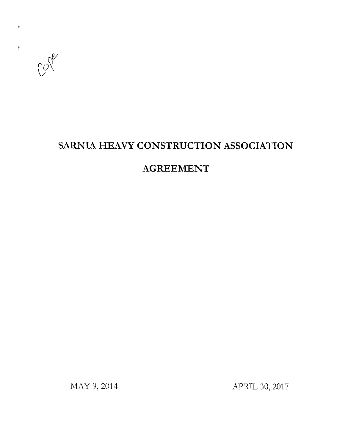

# **SARNIA HEAVY CONSTRUCTION ASSOCIATION**

# **AGREEMENT**

MAY 9, 2014 **APRIL 30, 2017**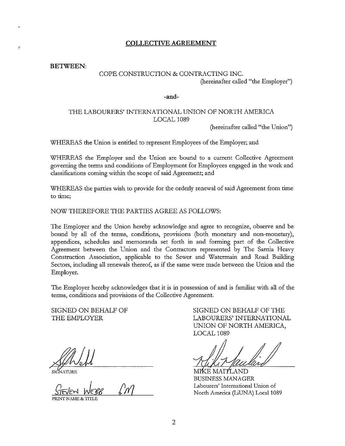#### **COLLECTIVE AGREEMENT**

**BETWEEN:** 

### COPE CONSTRUCTION & CONTRACTING INC. (hereinafter called "the Employer")

#### **-and-**

## THE LABOURERS' INTERNATIONAL UNION OF NORTH AMERICA LOCAL 1089

(hereinafter called "the Union")

WHEREAS the Union is entitled to represent Employees of the Employer; and

WHEREAS the Employer and the Union are bound to a current Collective Agreement governing the terms and conditions of Employment for Employees engaged in the work and classifications coming within the scope of said Agreement; and

WHEREAS the parties wish to provide for the orderly renewal of said Agreement from time **to time;** 

#### NOW THEREFORE THE PARTIES AGREE AS FOLLOWS:

The Employer and the Union hereby acknowledge and agree to recognize, observe and be bound by all of the terms, conditions, provisions (both monetary and non-monetary), appendices, schedules and memoranda set forth in and forming part of the Collective Agreement between the Union and the Contractors represented by The Sarnia Heavy Construction Association, applicable to the Sewer and Watermain and Road Building Sectors, including all renewals thereof, as if the same were made between the Union and the Employer.

The Employer hereby acknowledges that it is in possession of and is familiar with all of the terms, conditions and provisions of the Collective Agreement.

SIGNED ON BEHALF OF THE EMPLOYER

 $\sqrt{M}$ 

**PRINT NAl\iE & '11TLE** 

SIGNED ON BEHALF OF THE LABOURERS' INTERNATIONAL UNION OF NORTH AMERICA, LOCAL 1089

CE MAITLAND BUSINESS MANAGER **Labourers' International Union of**  North America (LiUNA) Local 1089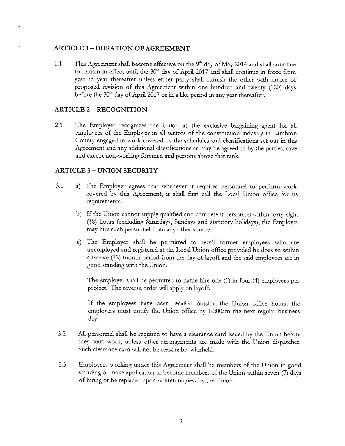### **ARTICLE 1- DURATION OF AGREEMENT**

1.1 This Agreement shall become effective on the  $9<sup>th</sup>$  day of May 2014 and shall continue to remain in effect until the 30"' day of April 2017 and shall continue in force from year to year thereafter unless either party shall furnish the other with notice of proposed revision of this Agreement within one hnndred and twenty (120) days before the  $30<sup>th</sup>$  day of April 2017 or in a like period in any year thereafter.

#### **ARTICLE** 2 - **RECOGNITION**

2.1 The Employer recognizes the Union as the exclusive bargaining agent for all employees of the Employer in all sectors of the construction industry in Lambton County engaged in work covered by the schedules and classifications set out in this Agreement and any additional classifications as may be agreed to by the parties, save and except non-working foremen and persons above that rank.

### **ARTICLE 3** - **UNION SECURITY**

- 3.1 a) The Employer agrees that whenever it requires personnel to perform work covered by this Agreement, it shall first call the Local Union office for its requirements.
	- b) If the Union cannot supply qualified and competent personnel within forty-eight (48) hours (excluding Saturdays, Sundays and statutory holidays), the Employer may hire such personnel from any other source.
	- c) The Employer shall be permitted to recall former employees who are unemployed and registered at the Local Union office provided he does so within a twelve (12) month period from the day of layoff and the said employees are in good standing with the Union.

The employer shall be pennitted to name hire one (1) in four (4) employees per project. The reverse order will apply on layoff.

If the employees have been recalled outside the Union office hours, the employers must notify the Union office by 10:00am the next regular business day.

- $3.2$ All personnel shall be required to have a clearance card issued by the Union before they start work, unless other arrangements are made with the Union dispatcher. Such clearance card will not be reasonably withheld.
- 3.3 Employees working under this Agreement shall be members of the Union in good standing or make application to become members of the Union within seven (7) days of hiring or be replaced upon written request by the Union.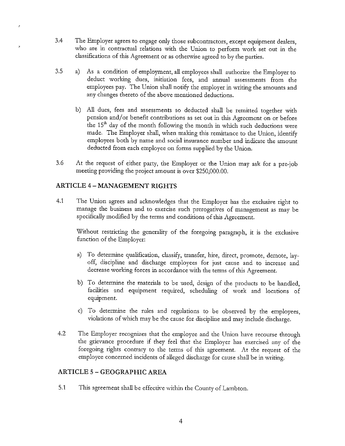- 3.4 The Employer agrees to engage only those subcontractors, except equipment dealers, who are in contractual relations with the Union to perform work set out in the classifications of this Agreement or as othenvise agreed to by the parties.
- 3.5 a) As a condition of employment, all employees shall authorize the Employer to deduct working dues, initiation fees, and annual assessments from the employees pay. The Union shall notify the employer in writing the amounts and any changes thereto of the above mentioned deductions.
	- b) All dues, fees and assessments so deducted shall be remitted together with pension and/or benefit contributions as set out in this Agreement on or before the 15" day of the month following the month in which such deductions were made. The Employer shall, when making this remittance to the Union, identify employees both by name and social insurance number and indicate the amount deducted from each employee on forms supplied by the Union.
- 3.6 At the request of either party, the Employer or the Union may ask for a pre-job meeting providing the project amount is over \$250,000.00.

## **ARTICLE** 4 - **MANAGEMENT RIGHTS**

 $\overline{\phantom{a}}$ 

4.1 The Union agrees and acknowledges that the Employer has the exclusive right to manage the business and to exercise such prerogatives of management as may be specifically modified by the terms and conditions of this Agreement.

Without restricting the generality of the foregoing paragraph, it is the exclusive function of the Employer:

- a) To detennine qualification, classify, transfer, hire, direct, promote, demote, layoff, discipline and discharge employees for just cause and to increase and decrease working forces in accordance with the terms of this Agreement.
- b) To detennine the materials to be used, design of the products to be handled, facilities and equipment required, scheduling of work and locations of equipment.
- c) To determine the rules and regulations to be observed by the employees, violations of which may be the cause for discipline and may include discharge.
- 4.2 The Employer recognizes that the employee and the Union have recourse through the grievance procedure if they feel that the Employer has exercised any of the foregoing rights contrary to the terms of this agreement. At the request of the employee concerned incidents of alleged discharge for cause shall be in writing.

## **ARTICLE 5 - GEOGRAPHIC AREA**

5.1 This agreement shall be effective within the County of Lambton.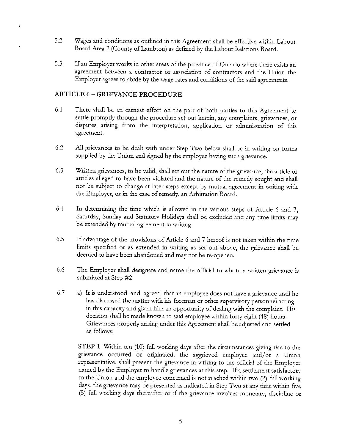- 5.2 Wages and conditions as outlined in this Agreement shall be effective within Labour Board Area 2 (County ofLambton) as defined by the Labour Relations Board.
- 5.3 If an Employer works **in** other areas of the province of Ontario where there exists an agreement between a contractor or association of contractors and the Union the Employer agrees to abide by the wage rates and conditions of the said agreements.

## **ARTICLE 6** - **GRIEVANCE PROCEDURE**

- 6.1 There shall be an earnest effort on the part of both parties to this Agreement to settle promptly through the procedure set out herein, any complaints, grievances, or disputes arising from the interpretation, application or administration of this agreement.
- 6.2 All grievances to be dealt with under Step Two below shall be in writing on forms supplied by the Union and signed by the employee having such grievance.
- 6.3 Written grievances, to be valid, shall set out the nature of the grievance, the article or articles alleged to have been violated and the nature of the remedy sought and shall not be subject to change at later steps except by mutual agreement in writing with the Employer, or in the case of remedy, an Arbitration Board.
- 6.4 In determining the time which is allowed in the various steps of Article 6 and 7, Saturday, Sunday and Statutory Holidays shall be excluded and any time limits may be extended by mutual agreement in writing.
- 6.5 If advantage of the provisions of Article 6 and 7 hereof is not taken within the time limits specified or as extended in writing as set out above, the grievance shall be deemed to have been abandoned and may not be re-opened.
- 6.6 The Employer shall designate and name the official to whom a written grievance is submitted at Step #2.
- 6.7 a) It is understood and agreed that an employee does not have a grievance until he has discussed the matter with his foreman or other supervisory personnel acting in this capacity and given him an opportunity of dealing with the complaint. His decision shall be made known to said employee within forty-eight (48) hours. Grievances properly arising under this Agreement shall be adjusted and settled as follows:

**STEP 1** Within ten (10) full working days after the circumstances giving rise to the grievance occurred or originated, the aggrieved employee and/or a Union representative, shall present the grievance in writing to the official of the Employer named by the Employer to handle grievances at this step. If a settlement satisfactory to the Union and the employee concerned is not reached within two (2) full working days, the grievance may be presented as indicated in Step Two at any time within five (5) full working days thereafter or if the grievance involves monetary, discipline or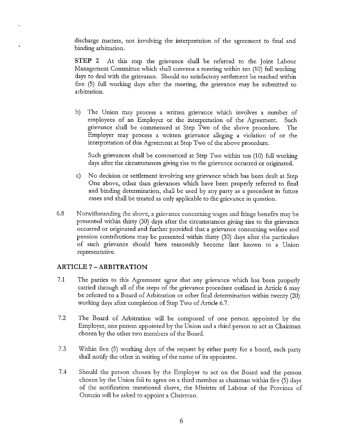discharge matters, not involving the interpretation of the agreement to final and binding arbitration.

**STEP 2** At this step the grievance shall be referred to the Joint Labour Management Committee which shall convene a meeting within ten (10) full working days to deal with the grievance. Should no satisfactory settlement be reached within five (5) full working days after the meeting, the grievance may be submitted to arbitration.

b) The Union may process a written grievance which involves a number of employees of an Employer or the interpretation of the Agreement. Such grievance shall be commenced at Step Two of the above procedure. The Employer may process a written grievance alleging a violation of or the interpretation of this Agreement at Step Two of the above procedure.

Such grievances shall be commenced at Step Two within ten (10) full working days after the circumstances giving rise to the grievance occurred or originated.

- c) No decision or settlement involving any grievance which has been dealt at Step One above, other than grievances which have been properly referred to final and binding determination, shall be used by any party as a precedent in future cases and shall be treated as only applicable to the grievance in question.
- 6.8 Notwithstanding the above, a grievance concerning wages and fringe benefits may be presented within thirty  $(30)$  days after the circumstances giving rise to the grievance occurred or originated and further provided that a grievance concerning welfare and pension contributions may be presented within thirty (30) days after the particulars of such grievance should have reasonably become first known to a Union **representative.**

## **ARTICLE** 7 - **ARBITRATION**

- 7.1 The parties to this Agreement agree that any grievance which has been properly carried through all of the steps of the grievance procedure outlined in Article 6 may be referred to a Board of Arbitration or other final determination within twenty (20) working days after completion of Step Two of Article 6.7.
- 7.2 The Board of Arbitration will be composed of one person appointed by the Employer, one person appointed by the Union and a third person to act as Chairman chosen by the other two members of the Board.
- 7.3 Within five (5) working days of the request by either party for a board, each party shall notify the other in writing of the name of its appointee.
- 7.4 Should the person chosen by the Employer to act on the Board and the person chosen by the Union fail to agree on a third member as chairman within five (5) days of the notification mentioned above, the Minister of Labour of the Province of Ontario will be asked to appoint a Chairman.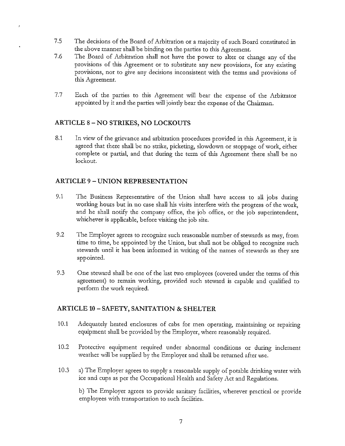- 7.5 The decisions of the Board of Arbitration or a majority of such Board constituted in the above manner shall be binding on the parties to this Agreement.
- 7.6 The Board of Arbitration shall not have the power to alter or change any of the provisions of this Agreement or to substitute any new provisions, for any existing provisions, nor to give any decisions inconsistent with the terms and provisions of this Agreement.
- 7.7 Each of the parties to this Agreement will bear the expense of the Arbitrator appointed by it and the parties will jointly bear the expense of the Chairman.

## **ARTICLE 8** - **NO STRIKES, NO LOCKOUTS**

8.1 In view of the grievance and arbitration procedures provided in this Agreement, it is agreed that there shall be no strike, picketing, slowdown or stoppage of work, either complete or partial, and that during the term of this Agreement there shall be no lockout.

## **ARTICLE 9 - UNION REPRESENTATION**

- 9.1 The Business Representative of the Union shall have access to all jobs during working hours but in no case shall his visits interfere with the progress of the work, and he shall notify the company office, the job office, or the job superintendent, whichever is applicable, before visiting the job site.
- 9.2 The Employer agrees to recognize such reasonable number of stewards as may, from time to time, be appointed by the Union, but shall not be obliged to recognize such stewards until it has been informed in writing of the names of stewards as they are appointed.
- 9.3 One steward shall be one of the last two employees (covered under the terms of this agreement) to remain working, provided such steward is capable and qualified to perform the work required.

## **ARTICLE 10 - SAFETY, SANITATION & SHELTER**

- 10.1 Adequately heated enclosures of cabs for men operating, maintaining or repairing equipment shall be provided by the Employer, where reasonably required.
- 10.2 Protective equipment required under abnormal conditions or during inclement weather will be supplied by the Employer and shall be returned after use.
- 10.3 a) The Employer agrees to supply a reasonable supply of potable drinking water with ice and cups as per the Occupational Health and Safety Act and Regulations.

b) The Employer agrees to provide sanitary facilities, wherever practical or provide employees with transportation to snch facilities.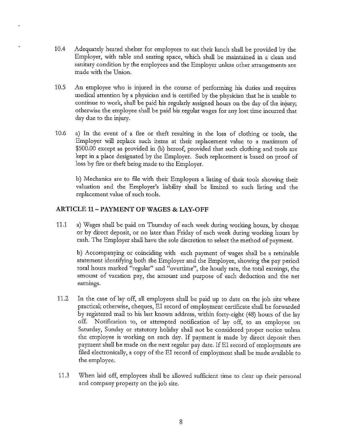- 10.4 Adequately heated shelter for employees to eat their lunch shall be provided by the Employer, with table and seating space, which shall be maintained in a clean and sanitary condition by the employees and the Employer unless other arrangements are made with the Union.
- 10.S An employee who is injured in the course of performing his duties and requires medical attention by a physician and is certified by the physician that he is unable to continue to work, shall be paid his regularly assigned hours on the day of the injury; otherwise the employee shall be paid his regular wages for any lost time incurred that day due to the injury.
- 10.6 a) In the event of a fire or theft resulting in the loss of clothing or tools, the Employer will replace such items at their replacement value to a maximum of \$500.00 except as provided in (b) hereof, provided that such clothing and tools are kept in a place designated by the Employer. Such replacement is based on proof of loss by fire or theft being made to the Employer.

b) Mechanics are to file with their Employers a listing of their tools showing their valuation and the Employer's liability shall be limited to such listing and the replacement value of such tools.

## **ARTICLE 11-PAYMENT OF WAGES & LAY-OFF**

11.1 a) Wages shall be paid on Thursday of each week during working hours, by cheque or by direct deposit, or no later than Friday of each week during working hours by cash. The Employer shall have the sole discretion to select the method of payment.

b) Accompanying or coinciding with each payment of wages shall be a retainable statement identifying both the Employer and the Employee, showing the pay period total hours marked "regular" and "overtime", the hourly rate, the total earnings, the amount of vacation pay, the amount and purpose of each deduction and the net earnings.

- 11.2 In the case of lay off, all employees shall be paid up to date on the job site where practical; othenvise, cheques, EI record of employment certificate shall be forwarded by registered mail to his last known address, within forty-eight (48) hours of the lay off. Notification to, or attempted notification of lay off, to an employee on Saturday, Sunday or statutory holiday shall not be considered proper notice unless the employee is working on such day. If payment is made by direct deposit then payment shall be made on the next regular pay date. If EI record of employments are filed electronically, a copy of the EI record of employment shall be made available to the employee.
- 11.3 When laid off, employees shall be allowed sufficient time to clear up their personal and company property on the job site.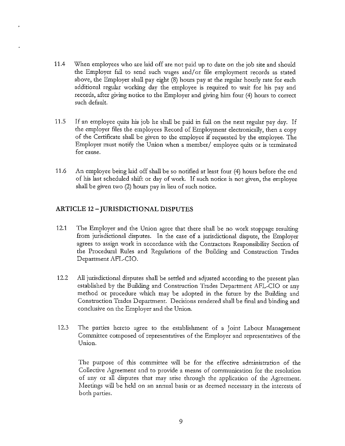- 11.4 When employees who are laid off are not paid up to date on the job site and should the Employer fail to send such wages and/or file employment records as stated above, the Employer shall pay eight (8) hours pay at the regular hourly rate for each additional regular working day the employee is required to wait for his pay and records, after giving notice to the Employer and giving him four (4) hours to correct such default.
- 11.S If an employee quits his job he shall be paid in full on the next regular pay day. If the employer ftles the employees Record of Employment electronically, then a copy of the Certificate shall be given to the employee if requested by the employee. The Employer must notify the Union when a member/ employee quits or is terminated for cause.
- 11.6 An employee being laid off shall be so notified at least four (4) hours before the end of his last scheduled shift or day of work. If such notice is not given, the employee shall be given two (2) hours pay in lieu of such notice.

## **ARTICLE 12** - **JURISDICTIONAL DISPUTES**

- 12.1 The Employer and the Union agree that there shall be no work stoppage resulting from jurisdictional disputes. In the case of a jurisdictional dispute, the Employer agrees to assign work in accordance with the Contractors Responsibility Section of the Procedural Rules and Regulations of the Building and Construction Trades Department AFL-CIO.
- 12.2 All jurisdictional disputes shall be settled and adjusted according to the present plan established by the Building and Construction Trades Department AFL-CIO or any method or procedure which may be adopted in the future by the Building and Construction Trades Department. Decisions rendered shall be final and binding and conclusive on the Employer and the Union.
- 12.3 The parties hereto agree to the establishment of a Joint Labour Management Committee composed of representatives of the Employer and representatives of the Union.

The purpose of this committee will be for the effective administration of the Collective Agreement and to provide a means of communication for the resolution of any or all disputes that may arise through the application of the Agreement. Meetings will be held on an annual basis or as deemed necessary in the interests of both parties.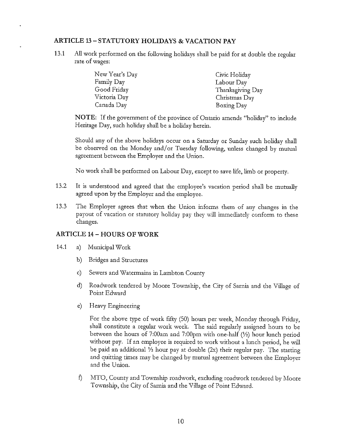## **ARTICLE 13-STATUTORY HOLIDAYS & VACATION PAY**

**13.1** All work performed on the following holidays shall be paid for at double the regular rate of wages:

| New Year's Day | Civic Holiday    |
|----------------|------------------|
| Family Day     | Labour Day       |
| Good Friday    | Thanksgiving Day |
| Victoria Day   | Christmas Day    |
| Canada Day     | Boxing Day       |

**NOTE:** If the government of the province of Ontario amends "holiday" to include Heritage Day, such holiday shall be a holiday herein.

Should any of the above holidays occur on a Saturday or Sunday such holiday shall be observed on the Monday and/or Tuesday following, unless changed by mutual agreement between the Employer and the Union.

No work shall be performed on Labour Day, except to save life, limb or property.

- 13.2 **It** is understood and agreed that the employee's vacation period shall be mutually agreed upon by the Employer and the employee.
- 13.3 The Employer agrees that when the Union informs them of any changes in the payout of vacation or statutory holiday pay they will immediately conform to these changes.

## **ARTICLE 14 - HOURS OF WORK**

- 14.1 a) Municipal Work
	- b) Bridges and Structures
	- c) Sewers and Watermains in Lambton County
	- d) Roadwork tendered by Moore Township, the City of Sarnia and the Village of Point Edward
	- e) Heavy Engineering

For the above type of work fifty (50) hours per week, Monday through Friday, shall constitute a regular work week. The said regularly assigned hours to be between the hours of 7:00am and 7:00pm with one-half(½) hour lunch period without pay. If an employee is required to work without a lunch period, he will be paid an additional ½ hour pay at double (2x) their regular pay. The starting and quitting times may be changed by mutual agreement between the Employer and the Union.

f) MTO, County and Township roadwork, excluding roadwork tendered by Moore Township, the City of Sarnia and the Village of Point Edward.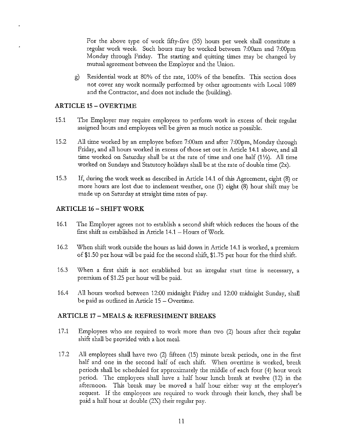For the above type of work fifty-five (55) hours per week shall constitute a reguhr work week. Such hours may be worked between 7:00am and 7:00pm Monday through Friday. The starting and quitting times may be changed by mutual agreement between the Employer and the Union.

g) Residential work at 80% of the rate, 100% of the benefits. This section does not cover any work nonnally performed by other agreements with Local 1089 and the Contractor, and does not include the (building).

#### **ARTICLE 15 - OVERTIME**

- 15.1 The Employer may require employees to perform work in excess of their regular assigned hours and employees will be given as much notice as possible.
- 15.2 All time worked by an employee before 7:00am and after 7:00pm, Monday through Friday, and all hours worked in excess of those set out in Article 14.1 above, and all time worked on Saturday shall be at the rate of time and one half (1 ½). All time worked on Sundays and Statutory holidays shall be at the rate of double time (2x).
- 15.3 If, during the work week as described **in** Article 14.1 of this Agreement, eight (8) or more hours are lost due to inclement weather, one (1) eight (8) hour shift may be made up on Saturday at straight time rates of pay.

## **ARTICLE 16 - SHIFT WORK**

- 16.1 The Employer agrees not to establish a second shift which reduces the hours of the first shift as established in Article 14.1 - Hours of Work.
- 16.2 When shift work outside the hours as laid down in Article 14.1 is worked, a premium of \$1.50 per hour will be paid for the second shift, \$1.75 per hour for the third shift.
- 16.3 When a first shift is not established but an irregular start time is necessary, a premium of \$1.25 per hour will be paid.
- 16.4 All hours worked between 12:00 midnight Friday and 12:00 midnight Sunday, shall be paid as outlined in Article 15 - Overtime.

#### **ARTICLE 17** - **MEALS & REFRESHMENT BREAKS**

- 17.1 Employees who are required to work more than two (2) hours after their regular shift shall be provided with a hot meal.
- 17 .2 All employees shall have two (2) fifteen (15) minute break periods, one in the first half and one in the second half of each shift. When overtime is worked, break periods shall be scheduled for approximately the middle of each four (4) hour work period. The employees shall have a half hour lunch break at twelve (12) in the afternoon. This break may be moved a half hour either way at the employer's request. If the employees are required to work through their lunch, they shall be paid a half hour at double (2X) their regular pay.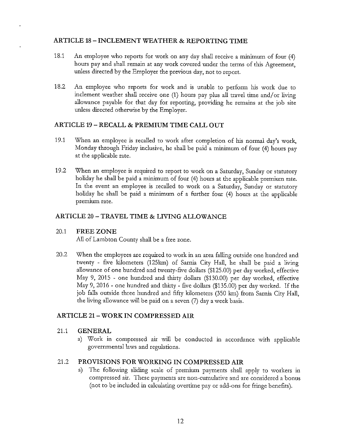## **ARTICLE 18-INCLEMENT WEATHER & REPORTING TIME**

- 18.1 An employee who reports for work on any day shall receive a minimum of four (4) hours pay and shall remain at any work covered under the terms of this Agreement, unless directed by the Employer the previous day, not to report.
- 18.2 An employee who reports for work and is unable to perform his work due to inclement weather shall receive one **(1)** hours pay plus all travel time and/ or living allowance payable for that day for reporting, providing he remains at the job site unless directed othenvise by the Employer.

## **ARTICLE 19 - RECALL & PREMIUM TIME CALL OUT**

- 19.1 When an employee is recalled to work after completion of his normal day's work, Monday through Friday inclusive, he shall be paid a minimum of four (4) hours pay at the applicable rate.
- 19 .2 When an employee is required to report to work on a Saturday, Sunday or statutory holiday he shall be paid a minimum of four (4) hours at the applicable premium rate. In the event an employee is recalled to work on a Saturday, Sunday or statutory holiday he shall be paid a minimum of a further four  $(4)$  hours at the applicable premium rate.

## **ARTICLE 20** - **TRAVEL TIME & LIVING ALLOWANCE**

## 20.1 **FREE ZONE**

All of Lambton County shall be a free zone.

20.2 When the employees are required to work in an area falling outside one hundred and twenty - five kilometers (125km) of Sarnia City Hall, he shall be paid a living allowance of one hundred and twenty-five dollars (\$125.00) per day worked, effective May 9, 2015 - one hundred and thirty dollars (\$130.00) per day worked, effective May 9, 2016 - one hundred and thirty - five dollars (\$135.00) per day worked. If the job falls outside three hundred and fifty kilometers (350 km) from Sarnia City Hall, the living allowance will be paid on a seven (7) day a week basis.

## **ARTICLE 21- WORK IN COMPRESSED AIR**

## 21.1 **GENERAL**

a) Work in compressed air will be conducted in accordance with applicable governmental laws and regulations.

## 21.2 **PROVISIONS FOR WORKING IN COMPRESSED AIR**

a) The following sliding scale of premium payments shall apply to workers in compressed air. These payments are non-cumulative and are considered a bonus (not to be included in calculating overtime pay or add-ons for fringe benefits).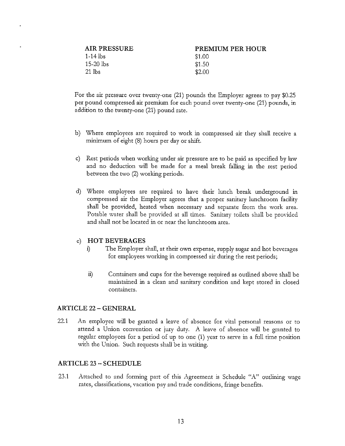| AIR PRESSURE | PREMIUM PER HOUR |
|--------------|------------------|
| $1-14$ lbs   | \$1.00           |
| -15-20 lbs   | \$1.50           |
| -21 lbs      | \$2.00           |

For the air pressure over twenty-one (21) pounds the Employer agrees to pay \$0.25 per pound compressed air premium for each pound over twenty-one (21) pounds, in addition to the twenty-one (21) pound rate.

- b) Where employees are required to work in compressed air they shall receive a minimum of eight (8) hours per day or shift.
- c) Rest periods when working under air pressure are to be paid as specified by law and no deduction will be made for a meal break falling in the rest period between the two (2) working periods.
- d) Where employees are required to have their lunch break underground in compressed air the Employer agrees that a proper sanitary lunchroom facility shall be provided, heated when necessary and separate from the work area. Potable water shall be provided at all times. Sanitary toilets shall be provided and shall not be located in or near the lunchroom area.

#### e) **HOT BEVERAGES**

- i) The Employer shall, at their own expense, supply sugar and hot beverages for employees working in compressed air during the rest periods;
- ii) Containers and cups for the beverage required as outlined above shall be maintained in a clean and sanitary condition and kept stored in closed **containers.**

#### **ARTICLE 22** - **GENERAL**

22.1 An employee will be granted a leave of absence for vital personal reasons or to attend a Union convention or jury duty. A leave of absence will be granted to regular employees for a period of up to one (1) year to serve in a full time position with the Union. Such requests shall be in writing.

#### **ARTICLE 23** - **SCHEDULE**

23.1 Attached to and forming part of this Agreement is Schedule "A" outlining wage rates, classifications, vacation pay and trade conditions, fringe benefits.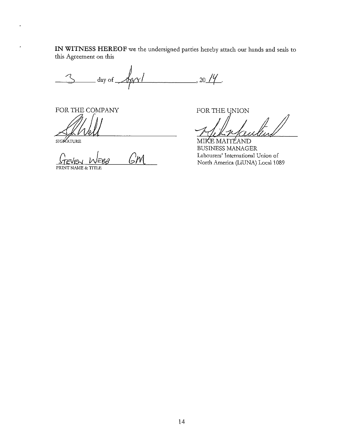**IN WITNESS HEREOF** we the undersigned parties hereby attach our hands and seals to this Agreement on this

day of  $\overline{\phantom{a}}$  $, 20$  /4.

FOR THE COMPANY

*::fl!Jil* 

l,

GМ

PRINT NAME & TITLE

2014<br>FOR THE UNION<br>MIKE MAITLAND<br>BUSINESS MANAGER<br>Labourers' International Union of<br>North America (LINA) Local 1989

Labourers' International Union of North America (LiUNA) Local 1089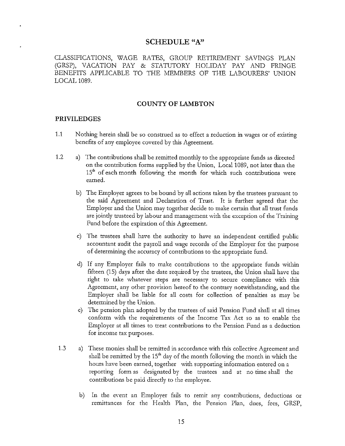#### **SCHEDULE "A"**

CLASSIFICATIONS, WAGE RATES, GROUP RETIREMENT SAVINGS PLAN (GRSP), VACATION PAY & STATUTORY HOLIDAY PAY AND FRINGE BENEFITS APPLICABLE TO THE MEMBERS OF THE LABOURERS' UNION LOCAL 1089.

#### **COUNTY OF LAMBTON**

#### **PRIVILEDGES**

- 1.1 Nothing herein shall be so construed as to effect a reduction in wages or of existing benefits of any employee covered by this Agreement.
- 1.2 a) The contributions shall be remitted monthly to the appropriate funds as directed on the contribution forms supplied by the Union, Local 1089, not later than the 15<sup>th</sup> of each month following the month for which such contributions were earned.
	- b) The Employer agrees to be bound by all actions taken by the trustees pursuant to the said Agreement and Declaration of Trust. It is further agreed that the Employer and the Union may together decide to make certain that all trust funds are jointly trusteed by labour and management with the exception of the Training Fund before the expiration of this Agreement.
	- c) The trustees shall have the authority to have an independent certified public accountant audit the payroll and wage records of the Employer for the purpose of determining the accuracy of contributions to the appropriate fund.
	- d) If any Employer fails to make contributions to the appropriate funds witlun fifteen  $(15)$  days after the date required by the trustees, the Union shall have the right to take whatever steps are necessary to secure compliance with this Agreement, any other provision hereof to the contrary notwithstanding, and the Employer shall be liable for all costs for collection of penalties as may be determined by the Union.
	- e) The pension plan adopted by the trustees of said Pension Fund shall at all times conform with the requirements of the Income Tax Act so as to enable the Employer at all times to treat contributions to the Pension Fund as a deduction for income tax purposes.
- 1.3 a) These monies shall be renutted in accordance with this collective Agreement and shall be remitted by the  $15<sup>th</sup>$  day of the month following the month in which the hours have been earned, together with supporting information entered on a reporting form as designated by the trustees and at no time shall the contributions be paid directly to the employee.
	- b) In the event an Employer fails to remit any contributions, deductions or renuttances for the Health Plan, the Pension Plan, dues, fees, GRSP,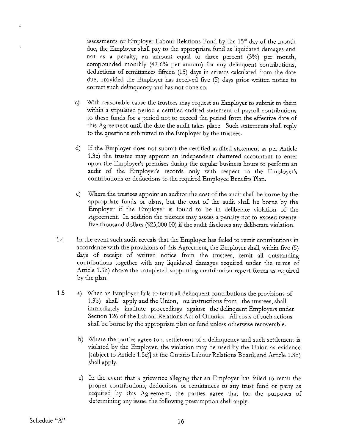assessments or Employer Labour Relations Fund by the  $15<sup>th</sup>$  day of the month due, the Employer shall pay to the appropriate fund as liquidated damages and not as a penalty, an amount equal to three percent (3%) per month, compounded monthly (42-6% per annum) for any delinquent contributions, deductions of remittances fifteen (15) days in arrears calculated from the date due, provided the Employer has received five (5) days prior written notice to correct such delinquency and has not done so.

- c) With reasonable cause the trustees may request an Employer to submit to them within a stipulated period a certified audited statement of payroll contributions to these funds for a period not to exceed the period from the effective date of this Agreement until the date the audit takes place. Such statements shall reply to the questions submitted to the Employer by the trustees.
- d) If the Employer does not submit the certified audited statement as per Article 1.3c) the trustee may appoint an independent chartered accountant to enter upon the Employer's premises during the regular business hours to perform an audit of the Employer's records only with respect to the Employer's contributions or deductions to the required Employee Benefits Plan.
- e) Where the tiustees appoint an auditor the cost of the audit shall be borne by the appropriate funds or plans, but the cost of the audit shall be borne by the Employer if the Employer is found to be in deliberate violation of the Agreement. In addition the trustees may assess a penalty not to exceed twentyfive thousand dollars (\$25,000.00) if the audit discloses any deliberate violation.
- 1.4 In the event such audit reveals that the Employer has failed to remit contributions in accordance with the provisions of this Agreement, the Employer shall, within five (5) days of receipt of written notice from the trustees, remit all outstanding contributions together with any liquidated damages required under the terms of Article 1.3b) above the completed supporting contribution report forms as required by the plan.
- 1.5 a) When an Employer fails to remit all delinquent contributions the provisions of 1.3b) shall apply and the Union, on instructions from the trustees, shall immediately institute proceedings against the delinquent Employers under Section 126 of the Labour Relations Act of Ontario. All costs of such actions shall be borne by the appropriate plan or fund unless otherwise recoverable.
	- b) Where the parties agree to a settlement of a delinquency and such settlement is violated by the Employer, the violation may be used by the Union as evidence [subject to Article 1.5c)] at the Ontario Labour Relations Board; and Article 1.3b) shall apply.
	- c) In the event that a grievance alleging that an Employer has failed to remit the proper contributions, deductions or remittances to any trust fund or party as required by this Agreement, the parties agree that for the purposes of determining any issue, the following presumption shall apply: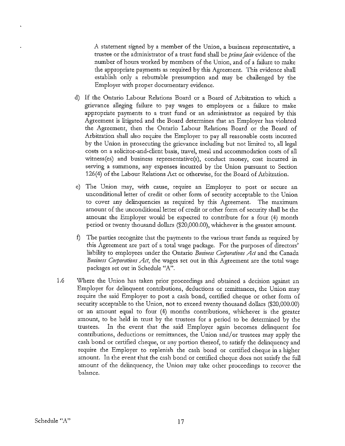A statement signed by a member of the Union, a business representative, a trustee or the administrator of a trust fund shall be *prima facie* evidence of the number of hours worked by members of the Union, and of a failure to make the appropriate payments as required by this Agreement. This evidence shall establish only a rebuttable preswnption and may be challenged by the Employer with proper docwnentary evidence.

- d) If the Ontario Labour Relations Board or a Board of Arbitration to which a grievance alleging failure to pay wages to employees or a failure to make appropriate payments to a trust fund or an administrator as required by this Agreement is litigated and the Board determines that an Employer has violated the Agreement, then the Ontario Labour Relations Board or the Board of Arbitration shall also require the Employer to pay all reasonable costs incurred by the Union in prosecuting the grievance including but not limited to, all legal costs on a solicitor-and-client basis, travel, meal and accommodation costs of all witness(es) and business representative(s), conduct money, cost incurred in serving a swnmons, any expenses incurred by the Union pursuant to Section 126(4) of the Labour Relations Act or otherwise, for the Board of Arbitration.
- e) The Union may, with cause, require an Employer to post or secure an unconditional letter of credit or other fonn of security acceptable to the Union to cover any delinquencies as required by this Agreement. The maximum amount of the nnconditional letter of credit or other form of security shall be the amonnt the Employer would be expected to contribute for a four (4) month period or twenty thousand dollars (\$20,000.00), whichever is the greater amount.
- f) The parties recognize that the payments to the various ttust funds as required by this Agreement are part of a total wage package. For the pwposes of directors' liability to employees under the Ontario *Business Corporations Act* and the Canada *Business Corporations Act*, the wages set out in this Agreement are the total wage packages set out in Schedule "A".
- 1.6 Where the Union has taken prior proceedings and obtained a decision against an Employer for delinquent contributions, deductions or remittances, the Union may require the said Employer to post a cash bond, certified cheque or other form of security acceptable to the Union, not to exceed twenty thousand dollars (\$20,000.00) or an amount equal to four (4) months contributions, whichever is the greater amount, to be held in trust by the trustees for a period to be determined by the trustees. In the event that the said Employer again becomes delinquent for contributions, deductions or remittances, the Union and/ or trustees may apply the cash bond or certified cheque, or any portion thereof, to satisfy the delinquency and require the Employer to replenish the cash bond or certified cheque in a higher amount. In the event that the cash bond or certified cheque does not satisfy the full amount of the delinquency, the Union may take other proceedings to recover the balance.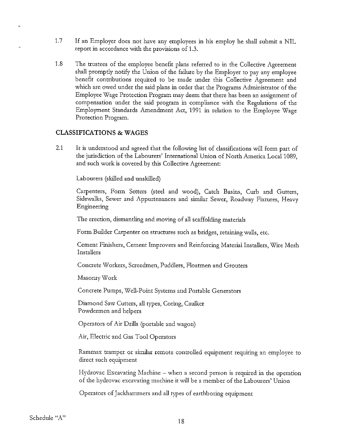- 1.7 If an Employer does not have any employees in his employ he shall submit a NIL report in accordance with the provisions of 1.3.
- 1.8 The trustees of the employee benefit plans referred to in the Collective Agreement shall promptly notify the Union of the failure by the Employer to pay any employee benefit contributions required to be made under this Collective Agreement and which are owed under the said plans in order that the Programs Administrator of the Employee Wage Protection Program may deem that there has been an assignment of compensation under the said program in compliance with the Regulations of the Employment Standards Amendment Act, 1991 in relation to the Employee Wage Protection Program.

#### **CLASSIFICATIONS & WAGES**

g.

2.1 It is understood and agreed that the following list of classifications will form part of the jurisdiction of the Labourers' International Union of North America Local 1089, and such work is covered by this Collective Agreement:

Labourers (skilled and unskilled)

Carpenters, Form Setters (steel and wood), Catch Basins, Curb and Gutters, Sidewalks, Sewer and Appurtenances and similar Sewer, Roadway Fixtures, Heavy Engineering

The erection, dismantling and moving of all scaffolding materials

Form Builder Carpenter on structures such as bridges, retaining walls, etc.

Cement Finishers, Cement Improvers and Reinforcing Material Installers, Wire Mesh Installers

Concrete Workers, Screedmen, Puddlers, Floatmen and Grouters

MasomyWork

Concrete Pumps, Well-Point Systems and Portable Generators

Diamond Saw Cutters, all types, Coring, Caulker Powdermen and helpers

Operators of Air Drills (portable and wagon)

Air, Electric and Gas Tool Operators

Rammax tramper or similar remote controlled equipment requiring an employee to direct such equipment

Hydrovac Excavating Machine - when a second person is required in the operation of the hydrovac excavating machine it will be a member of the Labourers' Union

Operators of.Jackhammers and all types of earthboring equipment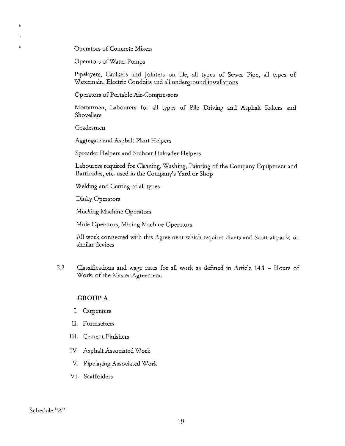Operators of Concrete Mixers

Operators of Water Pumps

Pipelayers, Caulkers and Jointers on tile, all types of Sewer Pipe, all types of Watermain, Electric Conduits and all underground installations

Operators of Portable Air-Compressors

Mortarmen, Labourers for all types of Pile Driving and Asphalt Rakers and Shovellers

Gradesmen

 $\bullet$ 

Aggregate and Asphalt Plant Helpers

Spreader Helpers and Stubcar Unloader Helpers

Labourers required for Cleaning, Washing, Painting of the Company Equipment and Barricades, etc. used in the Company's Yard or Shop

Welding and Cutting of all types

Dinky Operators

Mucking Machine Operators

Mole Operators, Mining Machine Operators

All work connected with this Agreement which requires divers and Scott airpacks or similar devices

2.2 Classifications and wage rates for all work as defined in Article 14.1 - Hours of Work, of the Master Agreement.

#### **GROUP A**

- I. Carpenters
- II. Formsetters
- III. Cement Finishers
- IV. Asphalt Associated Work
- V. Pipelaying Associated Work
- VI. Scaffolders

Schedule "A"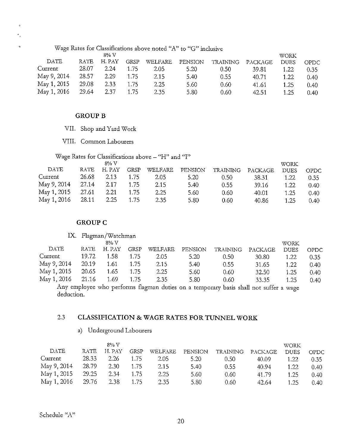| ÷. |             |       |        |             | Wage Rates for Classifications above noted "A" to "G" inclusive |                |                 |         |             |       |
|----|-------------|-------|--------|-------------|-----------------------------------------------------------------|----------------|-----------------|---------|-------------|-------|
|    |             |       | 8% V   |             |                                                                 |                |                 |         | <b>WORK</b> |       |
|    | DATE        | RATE  | H. PAY | <b>GRSP</b> | WELFARE                                                         | <b>PENSION</b> | <b>TRAINING</b> | PACKAGE | <b>DUES</b> | OPDC. |
|    | Current     | 28.07 | 2.24   | 1.75        | 2.05                                                            | 5.20           | 0.50            | 39.81   | 1.22        | 0.35  |
|    | May 9, 2014 | 28.57 | 2.29   | 1.75        | 2.15                                                            | 5.40           | 0.55            | 40.71   | 1.22        | 0.40  |
|    | May 1, 2015 | 29.08 | 2.33   | 1.75        | 2.25                                                            | 5.60           | 0.60            | 41.61   | 1.25        | 0.40  |
|    | May 1, 2016 | 29.64 | 2.37   | 1.75        | 2.35                                                            | 5.80           | 0.60            | 42.51   | 1.25        | 0.40  |

#### **GROUP B**

 $\hat{\mathbf{z}}_i$  $\sigma_{\rm g}$ 

- VII. Shop and Yard Work
- VIII. Common Labourers

|  |  | Wage Rates for Classifications above - "H" and "I" |  |  |
|--|--|----------------------------------------------------|--|--|
|  |  |                                                    |  |  |

|             |       | 8% V   |      |         |         |                   |         | <b>WORK</b> |                |
|-------------|-------|--------|------|---------|---------|-------------------|---------|-------------|----------------|
| DATE        | RATE  | H. PAY | GRSP | WELFARE | PENSION | TRAINING          | PACKAGE | <b>DUES</b> | OPDC           |
| Current     | 26.68 | 2.13   | 1.75 | 2.05    | 5.20    | 0.50 <sub>1</sub> | 38.31   | 1.22        | 0.35           |
| May 9, 2014 | 27.14 | 2.17   | 1.75 | 2.15    | 5.40    | 0.55              | 39.16   | 1.22        | 0.40           |
| May 1, 2015 | 27.61 | 2.21   | 1.75 | 2.25    | 5.60    | 0.60              | 40.01   | 1.25        | 0.40           |
| May 1, 2016 | 28.11 | 2.25   | 1.75 | 2.35    | 5.80    | 0.60              | 40.86   | 1.25        | $0.40^{\circ}$ |

#### **GROUP C**

### **IX.** Flagman/Watchman

|             |             | $8\%$ V |      |         |         |                |         | <b>WORK</b> |       |
|-------------|-------------|---------|------|---------|---------|----------------|---------|-------------|-------|
| DATE        | <b>RATE</b> | H. PAY  | GRSP | WELFARE | PENSION | TRAINING       | PACKAGE | <b>DUES</b> | OPDC. |
| Current     | 19.72       | 1.58    | 1.75 | 2.05    | 5.20    | $0.50^{\circ}$ | 30.80   | 1.22        | 0.35  |
| May 9, 2014 | 20.19       | 1.61    | 1.75 | 2.15    | 5.40    | 0.55           | 31.65   | 1.22        | 0.40  |
| May 1, 2015 | 20.65       | 1.65    | 1.75 | 2.25    | 5.60    | 0.60           | 32.50   | 1.25        | 0.40  |
| May 1, 2016 | 21.16       | 1.69    | 1.75 | 2.35    | 5.80    | 0.60           | 33.35   | 1.25        | 0.40  |

Any employee who performs flagman duties on a temporary basis shall not suffer a wage deduction.

## 2.3 **CLASSIFICATION & WAGE RATES FOR TUNNEL WORK**

## a) Underground Labourers

|             |         | $8\%$ V |      |         |         |          |         | <b>WORK</b> |       |
|-------------|---------|---------|------|---------|---------|----------|---------|-------------|-------|
| DATE        | RATE    | H. PAY  | GRSP | WELFARE | PENSION | TRAINING | PACKAGE | <b>DUES</b> | OPDC. |
| Current     | 28.33   | 2.26    | 1.75 | 2.05    | 5.20    | 0.50     | 40.09   | 1.22        | 0.35  |
| May 9, 2014 | -28.79  | 2.30    | 1.75 | 2.15    | 5.40    | 0.55     | 40.94   | 1.22        | 0.40  |
| May 1, 2015 | 29.25   | 2.34    | 1.75 | 2.25    | 5.60    | 0.60     | 41.79   | 1.25        | 0.40  |
| May 1, 2016 | - 29.76 | 2.38    | 1.75 | 2.35    | 5.80    | 0.60     | 42.64   | 1.25        | 0.40  |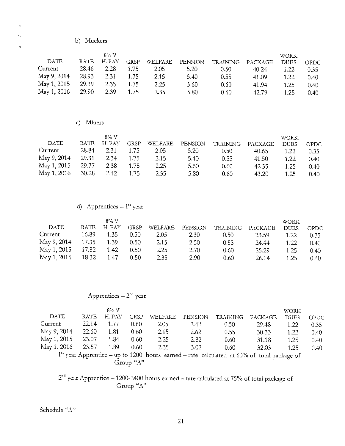b) Muckers

 $\epsilon_s$ '

į.

|             |       | 8% V   |      |         |         |          |         | <b>WORK</b> |       |
|-------------|-------|--------|------|---------|---------|----------|---------|-------------|-------|
| DATE        | RATE  | H. PAY | GRSP | WELFARE | PENSION | TRAINING | PACKAGE | <b>DUES</b> | OPDC. |
| Current     | 28.46 | 2.28   | 1.75 | 2.05    | 5.20    | 0.50     | 40.24   | 1.22        | 0.35  |
| May 9, 2014 | 28.93 | 2.31   | 1.75 | 2.15    | 5.40    | 0.55     | 41.09   | 1.22        | 0.40  |
| May 1, 2015 | 29.39 | 2.35   | 1.75 | 2.25    | 5.60    | 0.60     | 41.94   | 1.25        | 0.40  |
| May 1, 2016 | 29.90 | 2.39   | 1.75 | 2.35    | 5.80    | 0.60     | 42.79   | 1.25        | 0.40  |

## c) Miners

|             |       | 8% V   |      |         |         |                   |         | <b>WORK</b> |      |
|-------------|-------|--------|------|---------|---------|-------------------|---------|-------------|------|
| DATE        | RATE  | H. PAY | GRSP | WELFARE | PENSION | TRAINING          | PACKAGE | <b>DUES</b> | OPDC |
| Current     | 28.84 | 2.31   | 1.75 | 2.05    | 5.20    | 0.50 <sub>1</sub> | 40.65   | 1.22        | 0.35 |
| May 9, 2014 | 29.31 | 2.34   | 1.75 | 2.15    | 5.40    | 0.55              | 41.50   | 1.22        | 0.40 |
| May 1, 2015 | 29.77 | 2.38   | 1.75 | 2.25    | 5.60    | 0.60              | 42.35   | 1.25        | 0.40 |
| May 1, 2016 | 30.28 | 2.42   | 1.75 | 2.35    | 5.80    | 0.60              | 43.20   | 1.25        | 0.40 |

# d) Apprentices  $-1$ <sup>st</sup> year

|             |             | 8% V   |      |         |         |                |         | WORK        |       |
|-------------|-------------|--------|------|---------|---------|----------------|---------|-------------|-------|
| DATE        | <b>RATE</b> | H. PAY | GRSP | WELFARE | PENSION | TRAINING       | PACKAGE | <b>DUES</b> | OPDC. |
| Current     | 16.89       | 1.35   | 0.50 | 2.05    | 2.30    | $0.50^{\circ}$ | 23.59   | 1.22        | 0.35  |
| May 9, 2014 | 17.35       | 1.39   | 0.50 | 2.15    | 2.50    | 0.55           | 24.44   | 1.22        | 0.40  |
| May 1, 2015 | 17.82       | 1.42   | 0.50 | 2.25    | 2.70    | 0.60           | 25.29   | 1.25        | 0.40  |
| May 1, 2016 | 18.32       | -1.47  | 0.50 | 2.35    | 2.90    | 0.60           | 26.14   | 1.25        | 0.40  |

# Apprentices  $-2<sup>nd</sup>$  year

|             |             | $8\%$ V |           |                |         |                                                                                              |         | <b>WORK</b> |             |
|-------------|-------------|---------|-----------|----------------|---------|----------------------------------------------------------------------------------------------|---------|-------------|-------------|
| <b>DATE</b> | <b>RATE</b> | H. PAY  | GRSP      | <b>WELFARE</b> | PENSION | <b>TRAINING</b>                                                                              | PACKAGE | <b>DUES</b> | <b>OPDC</b> |
| Current     | 22.14       | 1.77    | 0.60      | 2.05           | 2.42    | 0.50                                                                                         | 29.48   | 1.22        | 0.35        |
| May 9, 2014 | 22.60       | 1.81    | 0.60      | 2.15           | 2.62    | 0.55                                                                                         | 30 33   | 1.22        | 0.40        |
| May 1, 2015 | -23.07      | 1.84    | 0.60      | 2.25           | 2.82    | 0.60                                                                                         | 31.18   | 1.25        | 0.40        |
| May 1, 2016 | 23.57       | 1.89    | 0.60      | 2.35           | 3.02    | 0.60                                                                                         | 32.03   | 1.25        | 0.40        |
|             |             |         |           |                |         | $1st$ year Apprentice – up to 1200 hours earned – rate calculated at 60% of total package of |         |             |             |
|             |             |         | Group "A" |                |         |                                                                                              |         |             |             |

 $2^{\rm nd}$  year Apprentice – 1200-2400 hours earned – rate calculated at 75% of total package of **Group** "A"

Schedule "A"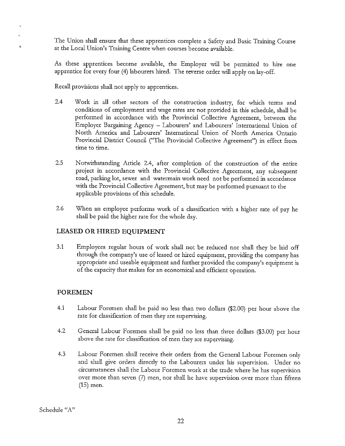The Union shall ensure that these apprentices complete a Safety and Basic Training Course at the Local Union's Training Centre when courses become available.

As these apprentices become available, the Employer will be permitted to hire one apprentice for every four (4) labourers hired. The reverse order will apply on lay-off.

Recall provisions shall not apply to apprentices.

- 2.4 Work in all other sectors of the construction industry, for which terms and conditions of employment and wage rates are not provided in *this* schedule, shall be performed in accordance with the Provincial Collective Agreement, between the Employer Bargaining Agency - Labourers' and Labourers' International Union of North America and Labourers' International Union of North America Ontario Provincial *District* Council ("The Provincial Collective Agreement") in effect from time to time.
- 2.5 Notwithstanding Article 2.4, after completion of the construction of the entire project in accordance with the Provincial Collective Agreement, any subsequent road, parking lot, sewer and watermain work need not be performed in accordance with the Provincial Collective Agreement, but may be performed pursuant to the applicable provisions of this schedule.
- 2.6 When an employee performs work of a classification with a higher rate of pay he shall be paid the higher rate for the whole day.

## **LEASED OR HIRED EQUIPMENT**

3.1 Employees regular hours of work shall not be reduced nor shall they be laid off through the company's use of leased or hired equipment, providing the company has appropriate and useable equipment and further provided the company's equipment is of the capacity that makes for an economical and efficient operation.

## **FOREMEN**

ę.

- 4.1 Labour Foremen shall be paid no less than two dollars (\$2.00) per hour above the rate for classification of men they are supervising.
- 4.2 General Labour Foremen shall be paid no less than three dollars (\$3.00) per hour above the rate for classification of men they are supervising.
- 4.3 Labour Foremen shall receive their orders from the General Labour Foremen only and shall give orders directly to the Labourers under his supervision. Under no circumstances shall the Labour Foremen work at the trade where he has supervision over more than seven (7) men, nor shall he have supervision over more than fifteen (15) men.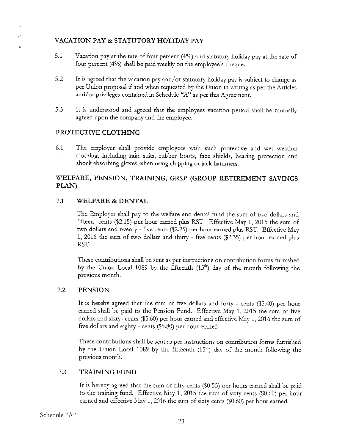## **VACATION PAY & STATUTORY HOLIDAY PAY**

- 5.1 Vacation pay at the rate of four percent (4%) and statutory holiday pay at the rate of four percent (4%) shall be paid weekly on the employee's cheque.
- 5.2 It is agreed that the vacation pay and/ or statutory holiday pay is subject to change as per Union proposal if and when requested by the Union in writing as per the Articles and/ or privileges contained in Schedule "A" as per this Agreement.
- 5.3 It is understood and agreed that the employees vacation period shall be mutually agreed upon the company and the employee.

## **PROTECTIVE CLOTHING**

 $\hat{z}^2$ t.

> 6.1 The employer shall provide employees with such protective and wet weather clothing, including rain suits, rubber boots, face shields, hearing protection and shock absorbing gloves when using chipping or jack hammers.

## **WELFARE, PENSION, TRAINING, GRSP (GROUP RETIREMENT SAVINGS PLAN)**

### 7.1 **WELFARE & DENTAL**

The Employer shall pay to the welfare and dental fund the sum of two dollars and fifteen cents (\$2.15) per hour earned plus RST. Effective May **1,** 2015 the sum of two dollars and twenty - five cents (\$2.25) per hour earned plus RST. Effective May 1, 2016 the sum of two dollars and thirty - five cents (\$2.35) per hour earned plus RST.

These contributions shall be sent as per instructions on contribution forms furnished by the Union Local 1089 by the fifteenth  $(15<sup>th</sup>)$  day of the month following the previous month.

### 7.2 **PENSION**

It is hereby agreed that the sum of five dollars and forty - cents (\$5.40) per hour earned shall be paid to the Pension Fund. Effective May 1, 2015 the sum of five dollars and sixty- cents (\$5.60) per hour earned and effective May 1, 2016 the sum of five dollars and eighty - cents (\$5.80) per hour earned.

These contributions shall be sent as per instructions on contribution forms furnished by the Union Local 1089 by the fifteenth  $(15<sup>th</sup>)$  day of the month following the previous month.

## 7.3 **TRAINING FUND**

It is hereby agreed that the sum of fifty cents (\$0.55) per hours earned shall be paid to the training fund. Effective May 1, 2015 the sum of sixty cents (\$0.60) per hour earned and effective May 1, 2016 the sum of sixty cents (\$0.60) per hour earned.

Schedule "A"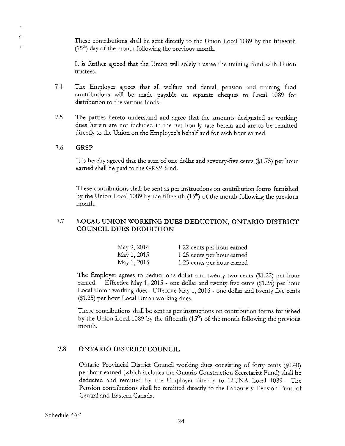These contributions shall be sent ditectly to the Union Local 1089 by the fifteenth  $(15<sup>th</sup>)$  day of the month following the previous month.

It is further agreed that the Union will solely trustee the training fund with Union trustees.

- 7.4 The Employer agrees that all welfare and dental, pension and training fund contributions will be made payable on separate cheques to Local 1089 for distribution to the various funds.
- 7.5 The parties hereto understand and agree that the amounts designated as working dues herein are not included in the net hourly rate herein and are to be remitted ditectly to the Union on the Employee's behalf and for each hour earned.

#### 7.6 **GRSP**

t

i.

It is hereby agreed that the sum of one dollar and seventy-five cents (\$1.75) per hour earned shall be paid to the GRSP fund.

These contributions shall be sent as per instructions on contribution fonns furnished by the Union Local 1089 by the fifteenth  $(15<sup>th</sup>)$  of the month following the previous month.

## 7.7 **LOCAL UNION WORKING DUES DEDUCTION, ONTARIO DISTRICT COUNCIL DUES DEDUCTION**

| May 9, 2014 | 1.22 cents per hour earned |
|-------------|----------------------------|
| May 1, 2015 | 1.25 cents per hour earned |
| May 1, 2016 | 1.25 cents per hour earned |

The Employer agrees to deduct one dollar and twenty two cents (\$1.22) per hour earned. Effective May 1, 2015 - one dollar and twenty five cents (\$1.25) per hour Local Union working dues. Effective May 1, 2016 - one dollar and twenty five cents (\$1.25) per hour Local Union working dues.

These contributions shall be sent as per instructions on contribution forms furnished by the Union Local 1089 by the fifteenth (15<sup>th</sup>) of the month following the previous month.

## 7.8 **ONTARIO DISTRICT COUNCIL**

Ontario Provincial District Council working dues consisting of forty cents (\$0.40) per hour earned (which includes the Ontario Construction Secretariat Fund) shall be deducted and remitted by the Employer ditectly to LIUNA Local 1089. The Pension contributions shall be remitted ditectly to the Labourers' Pension Fund of Central and Eastern Canada.